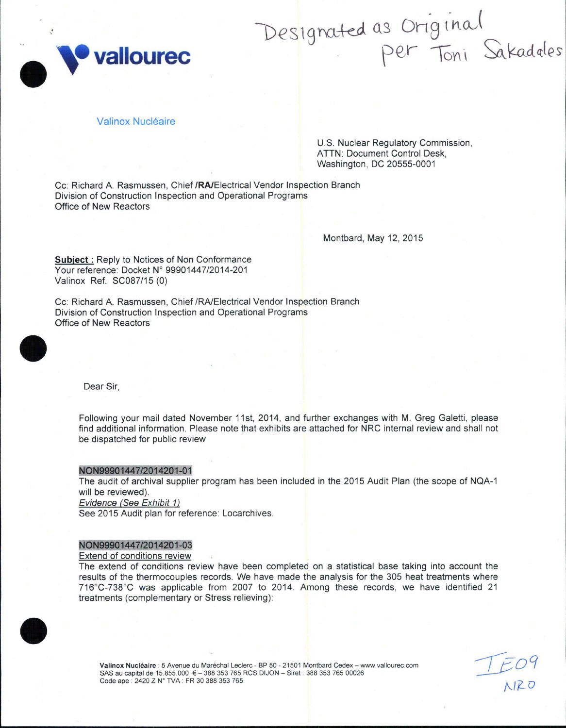

# Designated as Original<br>Per Toni Sakadales

# Valinox Nucléaire

U.S. Nuclear Regulatory Commission. **ATTN: Document Control Desk.** Washington, DC 20555-0001

Cc: Richard A. Rasmussen, Chief /RA/Electrical Vendor Inspection Branch Division of Construction Inspection and Operational Programs Office of New Reactors

Montbard, May 12, 2015

**Subject:** Reply to Notices of Non Conformance Your reference: Docket N° 99901447/2014-201 Valinox Ref. SC087/15 (0)

Cc: Richard A. Rasmussen, Chief /RA/Electrical Vendor Inspection Branch Division of Construction Inspection and Operational Programs Office of New Reactors



Dear Sir,

Following your mail dated November 11st, 2014, and further exchanges with M. Greg Galetti, please find additional information. Please note that exhibits are attached for NRC internal review and shall not be dispatched for public review

#### NON99901447/2014201-01

The audit of archival supplier program has been included in the 2015 Audit Plan (the scope of NQA-1 will be reviewed). Evidence (See Exhibit 1)

See 2015 Audit plan for reference: Locarchives.

#### NON99901447/2014201-03

#### Extend of conditions review

The extend of conditions review have been completed on a statistical base taking into account the results of the thermocouples records. We have made the analysis for the 305 heat treatments where 716°C-738°C was applicable from 2007 to 2014. Among these records, we have identified 21 treatments (complementary or Stress relieving):



Valinox Nucléaire : 5 Avenue du Maréchal Leclerc - BP 50 - 21501 Montbard Cedex - www.vallourec.com SAS au capital de 15.855.000 € - 388 353 765 RCS DIJON - Siret : 388 353 765 00026 Code ape: 2420 Z N° TVA: FR 30 388 353 765